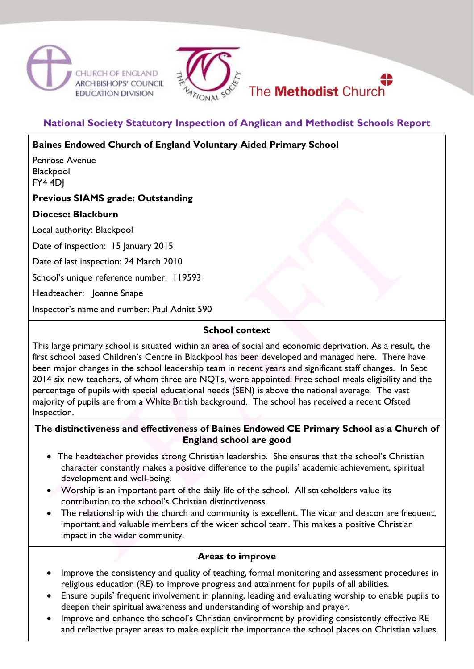





# **National Society Statutory Inspection of Anglican and Methodist Schools Report**

**Baines Endowed Church of England Voluntary Aided Primary School**

Penrose Avenue **Blackpool** FY4 4DJ

# **Previous SIAMS grade: Outstanding**

# **Diocese: Blackburn**

Local authority: Blackpool

Date of inspection: 15 January 2015

Date of last inspection: 24 March 2010

School's unique reference number: 119593

Headteacher: Joanne Snape

Inspector's name and number: Paul Adnitt 590

#### **School context**

This large primary school is situated within an area of social and economic deprivation. As a result, the first school based Children's Centre in Blackpool has been developed and managed here. There have been major changes in the school leadership team in recent years and significant staff changes. In Sept 2014 six new teachers, of whom three are NQTs, were appointed. Free school meals eligibility and the percentage of pupils with special educational needs (SEN) is above the national average. The vast majority of pupils are from a White British background. The school has received a recent Ofsted Inspection.

# **The distinctiveness and effectiveness of Baines Endowed CE Primary School as a Church of England school are good**

- The headteacher provides strong Christian leadership. She ensures that the school's Christian character constantly makes a positive difference to the pupils' academic achievement, spiritual development and well-being.
- Worship is an important part of the daily life of the school. All stakeholders value its contribution to the school's Christian distinctiveness.
- The relationship with the church and community is excellent. The vicar and deacon are frequent, important and valuable members of the wider school team. This makes a positive Christian impact in the wider community.

# **Areas to improve**

- Improve the consistency and quality of teaching, formal monitoring and assessment procedures in religious education (RE) to improve progress and attainment for pupils of all abilities.
- Ensure pupils' frequent involvement in planning, leading and evaluating worship to enable pupils to deepen their spiritual awareness and understanding of worship and prayer.
- Improve and enhance the school's Christian environment by providing consistently effective RE and reflective prayer areas to make explicit the importance the school places on Christian values.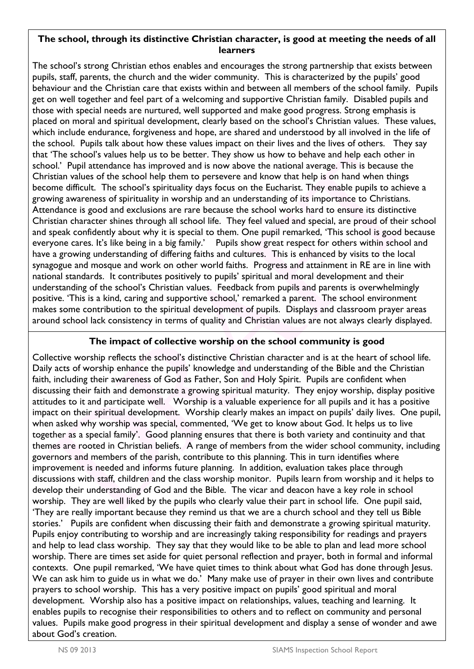# **The school, through its distinctive Christian character, is good at meeting the needs of all learners**

The school's strong Christian ethos enables and encourages the strong partnership that exists between pupils, staff, parents, the church and the wider community. This is characterized by the pupils' good behaviour and the Christian care that exists within and between all members of the school family. Pupils get on well together and feel part of a welcoming and supportive Christian family. Disabled pupils and those with special needs are nurtured, well supported and make good progress. Strong emphasis is placed on moral and spiritual development, clearly based on the school's Christian values. These values, which include endurance, forgiveness and hope, are shared and understood by all involved in the life of the school. Pupils talk about how these values impact on their lives and the lives of others. They say that 'The school's values help us to be better. They show us how to behave and help each other in school.' Pupil attendance has improved and is now above the national average. This is because the Christian values of the school help them to persevere and know that help is on hand when things become difficult. The school's spirituality days focus on the Eucharist. They enable pupils to achieve a growing awareness of spirituality in worship and an understanding of its importance to Christians. Attendance is good and exclusions are rare because the school works hard to ensure its distinctive Christian character shines through all school life. They feel valued and special, are proud of their school and speak confidently about why it is special to them. One pupil remarked, 'This school is good because everyone cares. It's like being in a big family.' Pupils show great respect for others within school and have a growing understanding of differing faiths and cultures. This is enhanced by visits to the local synagogue and mosque and work on other world faiths. Progress and attainment in RE are in line with national standards. It contributes positively to pupils' spiritual and moral development and their understanding of the school's Christian values. Feedback from pupils and parents is overwhelmingly positive. 'This is a kind, caring and supportive school,' remarked a parent. The school environment makes some contribution to the spiritual development of pupils. Displays and classroom prayer areas around school lack consistency in terms of quality and Christian values are not always clearly displayed.

# **The impact of collective worship on the school community is good**

Collective worship reflects the school's distinctive Christian character and is at the heart of school life. Daily acts of worship enhance the pupils' knowledge and understanding of the Bible and the Christian faith, including their awareness of God as Father, Son and Holy Spirit. Pupils are confident when discussing their faith and demonstrate a growing spiritual maturity. They enjoy worship, display positive attitudes to it and participate well. Worship is a valuable experience for all pupils and it has a positive impact on their spiritual development. Worship clearly makes an impact on pupils' daily lives. One pupil, when asked why worship was special, commented, 'We get to know about God. It helps us to live together as a special family'. Good planning ensures that there is both variety and continuity and that themes are rooted in Christian beliefs. A range of members from the wider school community, including governors and members of the parish, contribute to this planning. This in turn identifies where improvement is needed and informs future planning. In addition, evaluation takes place through discussions with staff, children and the class worship monitor. Pupils learn from worship and it helps to develop their understanding of God and the Bible. The vicar and deacon have a key role in school worship. They are well liked by the pupils who clearly value their part in school life. One pupil said, 'They are really important because they remind us that we are a church school and they tell us Bible stories.' Pupils are confident when discussing their faith and demonstrate a growing spiritual maturity. Pupils enjoy contributing to worship and are increasingly taking responsibility for readings and prayers and help to lead class worship. They say that they would like to be able to plan and lead more school worship. There are times set aside for quiet personal reflection and prayer, both in formal and informal contexts. One pupil remarked, 'We have quiet times to think about what God has done through Jesus. We can ask him to guide us in what we do.' Many make use of prayer in their own lives and contribute prayers to school worship. This has a very positive impact on pupils' good spiritual and moral development. Worship also has a positive impact on relationships, values, teaching and learning. It enables pupils to recognise their responsibilities to others and to reflect on community and personal values. Pupils make good progress in their spiritual development and display a sense of wonder and awe about God's creation.